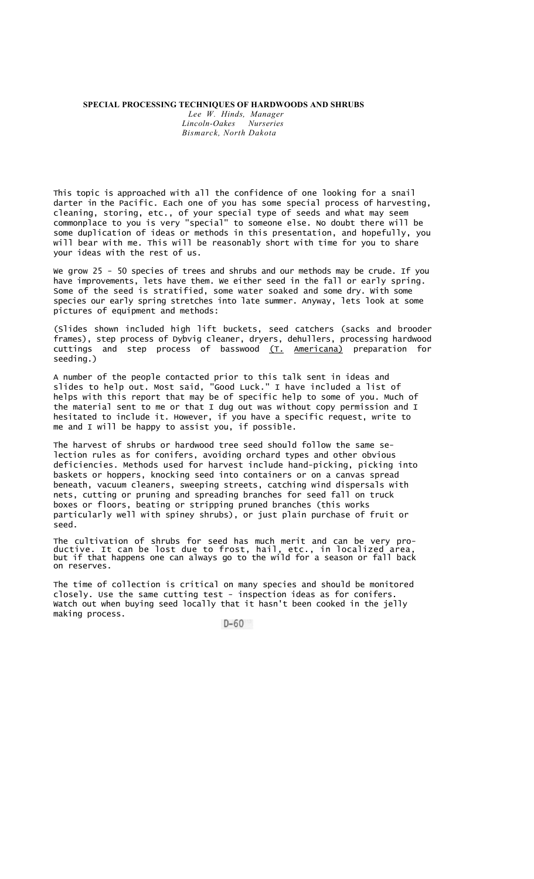## **SPECIAL PROCESSING TECHNIQUES OF HARDWOODS AND SHRUBS**

*Lee W. Hinds, Manager*  $Lincoln-Oakes$ *Bismarck, North Dakota* 

This topic is approached with all the confidence of one looking for a snail darter in the Pacific. Each one of you has some special process of harvesting, cleaning, storing, etc., of your special type of seeds and what may seem commonplace to you is very "special" to someone else. No doubt there will be some duplication of ideas or methods in this presentation, and hopefully, you will bear with me. This will be reasonably short with time for you to share your ideas with the rest of us.

We grow 25 - 50 species of trees and shrubs and our methods may be crude. If you have improvements, lets have them. We either seed in the fall or early spring. Some of the seed is stratified, some water soaked and some dry. With some species our early spring stretches into late summer. Anyway, lets look at some pictures of equipment and methods:

(Slides shown included high lift buckets, seed catchers (sacks and brooder frames), step process of Dybvig cleaner, dryers, dehullers, processing hardwood cuttings and step process of basswood (T. Americana) preparation for seeding.)

A number of the people contacted prior to this talk sent in ideas and slides to help out. Most said, "Good Luck." I have included a list of helps with this report that may be of specific help to some of you. Much of the material sent to me or that I dug out was without copy permission and I hesitated to include it. However, if you have a specific request, write to me and I will be happy to assist you, if possible.

The harvest of shrubs or hardwood tree seed should follow the same selection rules as for conifers, avoiding orchard types and other obvious deficiencies. Methods used for harvest include hand-picking, picking into baskets or hoppers, knocking seed into containers or on a canvas spread beneath, vacuum cleaners, sweeping streets, catching wind dispersals with nets, cutting or pruning and spreading branches for seed fall on truck boxes or floors, beating or stripping pruned branches (this works particularly well with spiney shrubs), or just plain purchase of fruit or seed.

The cultivation of shrubs for seed has much merit and can be very productive. It can be lost due to frost, hail, etc., in localized area, but if that happens one can always go to the wild for a season or fall back on reserves.

The time of collection is critical on many species and should be monitored closely. Use the same cutting test - inspection ideas as for conifers. Watch out when buying seed locally that it hasn't been cooked in the jelly making process.

 $D-60$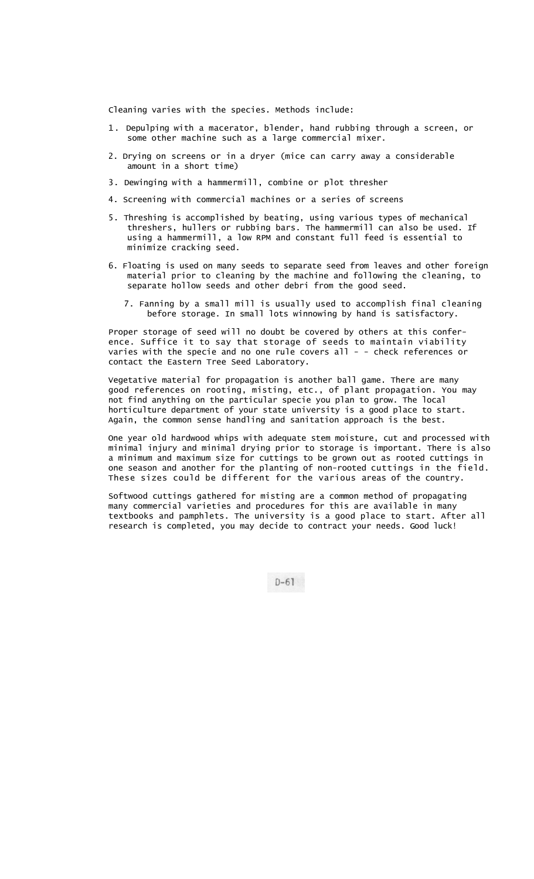Cleaning varies with the species. Methods include:

- 1. Depulping with a macerator, blender, hand rubbing through a screen, or some other machine such as a large commercial mixer.
- 2. Drying on screens or in a dryer (mice can carry away a considerable amount in a short time)
- 3. Dewinging with a hammermill, combine or plot thresher
- 4. Screening with commercial machines or a series of screens
- 5. Threshing is accomplished by beating, using various types of mechanical threshers, hullers or rubbing bars. The hammermill can also be used. If using a hammermill, a low RPM and constant full feed is essential to minimize cracking seed.
- 6. Floating is used on many seeds to separate seed from leaves and other foreign material prior to cleaning by the machine and following the cleaning, to separate hollow seeds and other debri from the good seed.
	- 7. Fanning by a small mill is usually used to accomplish final cleaning before storage. In small lots winnowing by hand is satisfactory.

Proper storage of seed will no doubt be covered by others at this conference. Suffice it to say that storage of seeds to maintain viability varies with the specie and no one rule covers all - - check references or contact the Eastern Tree Seed Laboratory.

Vegetative material for propagation is another ball game. There are many good references on rooting, misting, etc., of plant propagation. You may not find anything on the particular specie you plan to grow. The local horticulture department of your state university is a good place to start. Again, the common sense handling and sanitation approach is the best.

One year old hardwood whips with adequate stem moisture, cut and processed with minimal injury and minimal drying prior to storage is important. There is also a minimum and maximum size for cuttings to be grown out as rooted cuttings in one season and another for the planting of non-rooted cuttings in the field. These sizes could be different for the various areas of the country.

Softwood cuttings gathered for misting are a common method of propagating many commercial varieties and procedures for this are available in many textbooks and pamphlets. The university is a good place to start. After all research is completed, you may decide to contract your needs. Good luck!

 $D-61$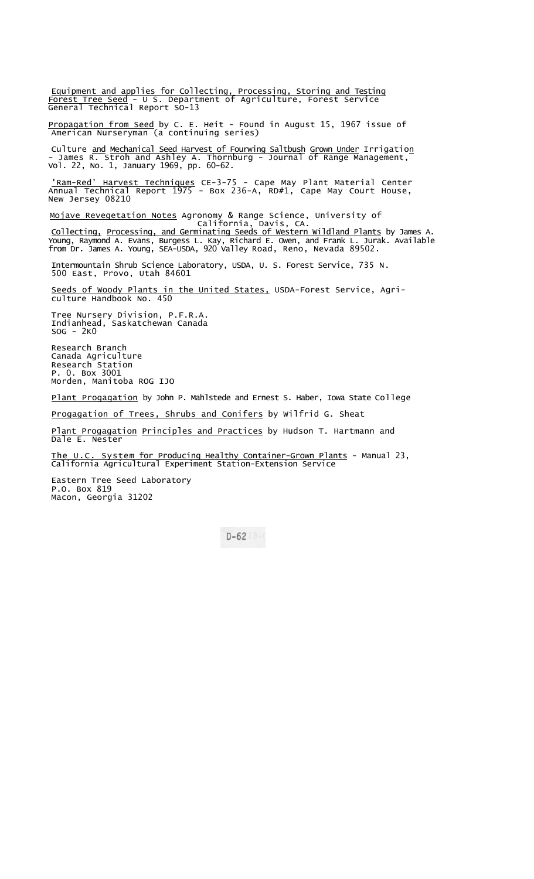Equipment and applies for Collecting, Processing, Storing and Testing Forest Tree Seed - U S. Department of Agriculture, Forest Service General Technical Report SO-13

<u>Propagation from Seed</u> by C. E. Heit - Found in August 15, 1967 issue of American Nurseryman (a continuing series)

Culture <u>and Mechanical Seed Harvest of Fourwing Saltbush Grown Under</u> Irrigatio<u>n</u> - James R. Stroh and Ashley A. Thornburg - Journal of Range Management, Vol. 22, No. 1, January 1969, pp. 60-62.

'Ram-Red' Harvest Techniques CE-3-75 - Cape May Plant Material Center Annual Technical Report 1975 - Box 236-A, RD#1, Cape May Court House, New Jersey 08210

Mojave Revegetation Notes Agronomy & Range Science, University of California, Davis, CA.

C<u>ollecting, Processing, and Germinating Seeds of Western Wildland Plants</u> by James A.<br>Young, Raymond A. Evans, Burgess L. Kay, Richard E. Owen, and Frank L. Jurak. Available from Dr. James A. Young, SEA-USDA, 920 Valley Road, Reno, Nevada 89502.

Intermountain Shrub Science Laboratory, USDA, U. S. Forest Service, 735 N. 500 East, Provo, Utah 84601

Seeds of Woody Plants in the United States, USDA-Forest Service, Agriculture Handbook No. 450

Tree Nursery Division, P.F.R.A. Indianhead, Saskatchewan Canada SOG - 2K0

Research Branch Canada Agriculture Research Station P. 0. Box 3001 Morden, Manitoba ROG IJO

Plant Progagation by John P. Mahlstede and Ernest S. Haber, Iowa State College

Progagation of Trees, Shrubs and Conifers by Wilfrid G. Sheat

Plant Progagation Principles and Practices by Hudson T. Hartmann and Dale E. Nester

The U.C. System for Producing Healthy Container-Grown Plants - Manual 23, California Agricultural Experiment Station-Extension Service

Eastern Tree Seed Laboratory P.O. Box 819 Macon, Georgia 31202

 $D-62$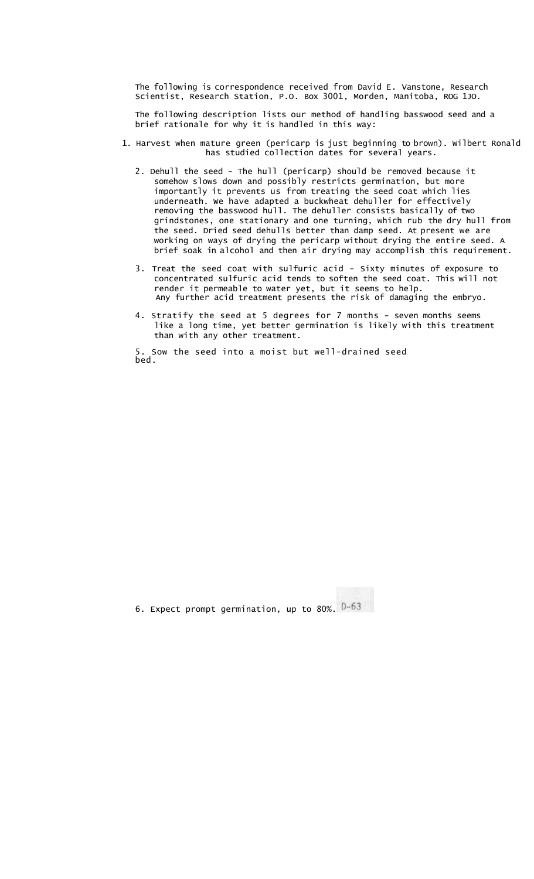The following is correspondence received from David E. Vanstone, Research Scientist, Research Station, P.O. Box 3001, Morden, Manitoba, ROG 1JO.

The following description lists our method of handling basswood seed and a brief rationale for why it is handled in this way:

- 1. Harvest when mature green (pericarp is just beginning to brown). Wilbert Ronald has studied collection dates for several years.
	- 2. Dehull the seed The hull (pericarp) should be removed because it somehow slows down and possibly restricts germination, but more importantly it prevents us from treating the seed coat which lies underneath. We have adapted a buckwheat dehuller for effectively removing the basswood hull. The dehuller consists basically of two grindstones, one stationary and one turning, which rub the dry hull from the seed. Dried seed dehulls better than damp seed. At present we are working on ways of drying the pericarp without drying the entire seed. A brief soak in alcohol and then air drying may accomplish this requirement.
	- 3. Treat the seed coat with sulfuric acid Sixty minutes of exposure to concentrated sulfuric acid tends to soften the seed coat. This will not render it permeable to water yet, but it seems to help. Any further acid treatment presents the risk of damaging the embryo.
	- 4. Stratify the seed at 5 degrees for 7 months seven months seems like a long time, yet better germination is likely with this treatment than with any other treatment.

5. Sow the seed into a moist but well-drained seed bed.

6. Expect prompt germination, up to 80%.